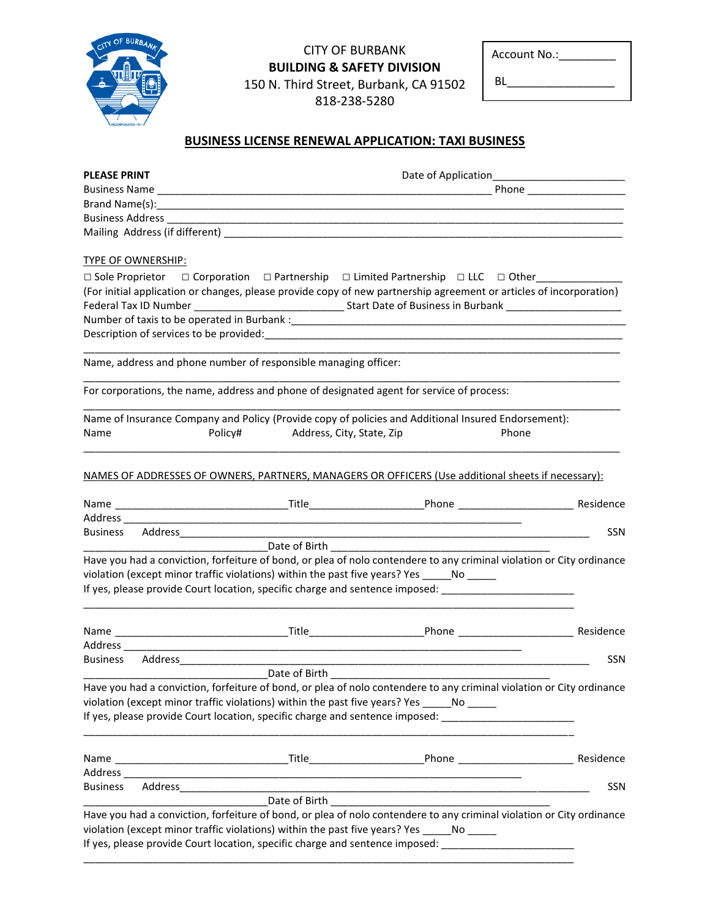

## CITY OF BURBANK **BUILDING & SAFETY DIVISION** 150 N. Third Street, Burbank, CA 91502

| Account No.: |  |
|--------------|--|
|--------------|--|

 $BL$ 

818-238-5280

## **BUSINESS LICENSE RENEWAL APPLICATION: TAXI BUSINESS**

| <b>PLEASE PRINT</b> |                                                                 |                           |                                                                                                                                                                                                                    |       |            |
|---------------------|-----------------------------------------------------------------|---------------------------|--------------------------------------------------------------------------------------------------------------------------------------------------------------------------------------------------------------------|-------|------------|
|                     |                                                                 |                           |                                                                                                                                                                                                                    |       |            |
|                     |                                                                 |                           |                                                                                                                                                                                                                    |       |            |
|                     |                                                                 |                           |                                                                                                                                                                                                                    |       |            |
|                     |                                                                 |                           |                                                                                                                                                                                                                    |       |            |
|                     |                                                                 |                           |                                                                                                                                                                                                                    |       |            |
| TYPE OF OWNERSHIP:  |                                                                 |                           |                                                                                                                                                                                                                    |       |            |
|                     |                                                                 |                           | $\Box$ Sole Proprietor $\Box$ Corporation $\Box$ Partnership $\Box$ Limited Partnership $\Box$ LLC $\Box$ Other_______________                                                                                     |       |            |
|                     |                                                                 |                           | (For initial application or changes, please provide copy of new partnership agreement or articles of incorporation)                                                                                                |       |            |
|                     |                                                                 |                           |                                                                                                                                                                                                                    |       |            |
|                     |                                                                 |                           |                                                                                                                                                                                                                    |       |            |
|                     |                                                                 |                           |                                                                                                                                                                                                                    |       |            |
|                     | Name, address and phone number of responsible managing officer: |                           |                                                                                                                                                                                                                    |       |            |
|                     |                                                                 |                           |                                                                                                                                                                                                                    |       |            |
|                     |                                                                 |                           | For corporations, the name, address and phone of designated agent for service of process:                                                                                                                          |       |            |
|                     |                                                                 |                           | Name of Insurance Company and Policy (Provide copy of policies and Additional Insured Endorsement):                                                                                                                |       |            |
| Name                | Policy#                                                         | Address, City, State, Zip |                                                                                                                                                                                                                    | Phone |            |
|                     |                                                                 |                           |                                                                                                                                                                                                                    |       |            |
|                     |                                                                 |                           | NAMES OF ADDRESSES OF OWNERS, PARTNERS, MANAGERS OR OFFICERS (Use additional sheets if necessary):                                                                                                                 |       |            |
|                     |                                                                 |                           |                                                                                                                                                                                                                    |       |            |
|                     |                                                                 |                           |                                                                                                                                                                                                                    |       |            |
|                     |                                                                 |                           |                                                                                                                                                                                                                    |       | SSN        |
|                     |                                                                 |                           |                                                                                                                                                                                                                    |       |            |
|                     |                                                                 |                           | Have you had a conviction, forfeiture of bond, or plea of nolo contendere to any criminal violation or City ordinance<br>violation (except minor traffic violations) within the past five years? Yes _____No _____ |       |            |
|                     |                                                                 |                           | If yes, please provide Court location, specific charge and sentence imposed: ______________________                                                                                                                |       |            |
|                     |                                                                 |                           |                                                                                                                                                                                                                    |       |            |
|                     |                                                                 |                           |                                                                                                                                                                                                                    |       |            |
|                     |                                                                 |                           |                                                                                                                                                                                                                    |       |            |
| Address _________   |                                                                 |                           |                                                                                                                                                                                                                    |       |            |
|                     |                                                                 |                           |                                                                                                                                                                                                                    |       | <b>SSN</b> |
|                     |                                                                 |                           |                                                                                                                                                                                                                    |       |            |
|                     |                                                                 |                           | Have you had a conviction, forfeiture of bond, or plea of nolo contendere to any criminal violation or City ordinance                                                                                              |       |            |
|                     |                                                                 |                           | violation (except minor traffic violations) within the past five years? Yes _____No _____                                                                                                                          |       |            |
|                     |                                                                 |                           | If yes, please provide Court location, specific charge and sentence imposed: ______________________                                                                                                                |       |            |
|                     |                                                                 |                           |                                                                                                                                                                                                                    |       |            |
|                     |                                                                 |                           |                                                                                                                                                                                                                    |       |            |
|                     |                                                                 |                           |                                                                                                                                                                                                                    |       |            |
| <b>Business</b>     |                                                                 |                           |                                                                                                                                                                                                                    |       | <b>SSN</b> |
|                     |                                                                 | Date of Birth _____       |                                                                                                                                                                                                                    |       |            |
|                     |                                                                 |                           | Have you had a conviction, forfeiture of bond, or plea of nolo contendere to any criminal violation or City ordinance                                                                                              |       |            |
|                     |                                                                 |                           | violation (except minor traffic violations) within the past five years? Yes No                                                                                                                                     |       |            |
|                     |                                                                 |                           | If yes, please provide Court location, specific charge and sentence imposed: ______________________                                                                                                                |       |            |
|                     |                                                                 |                           |                                                                                                                                                                                                                    |       |            |